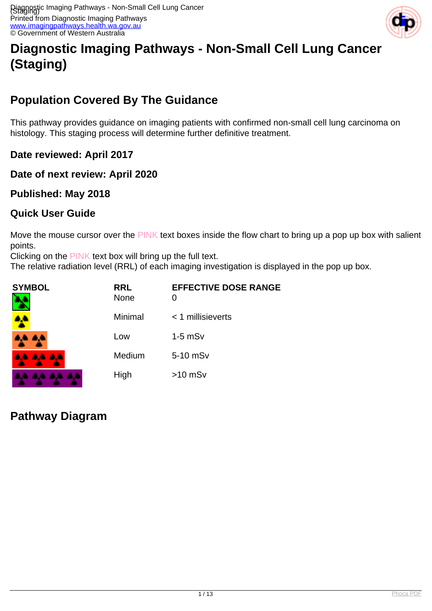

# **Diagnostic Imaging Pathways - Non-Small Cell Lung Cancer (Staging)**

# **Population Covered By The Guidance**

This pathway provides guidance on imaging patients with confirmed non-small cell lung carcinoma on histology. This staging process will determine further definitive treatment.

**Date reviewed: April 2017**

**Date of next review: April 2020**

**Published: May 2018**

## **Quick User Guide**

Move the mouse cursor over the PINK text boxes inside the flow chart to bring up a pop up box with salient points.

Clicking on the PINK text box will bring up the full text.

The relative radiation level (RRL) of each imaging investigation is displayed in the pop up box.

| <b>SYMBOL</b> | <b>RRL</b><br><b>None</b> | <b>EFFECTIVE DOSE RANGE</b><br>O |
|---------------|---------------------------|----------------------------------|
| <u>AP</u>     | Minimal                   | < 1 millisieverts                |
| 8. S          | Low                       | $1-5$ mSv                        |
| 4A 4A 4A      | Medium                    | 5-10 mSv                         |
|               | High                      | $>10$ mSv                        |

# **Pathway Diagram**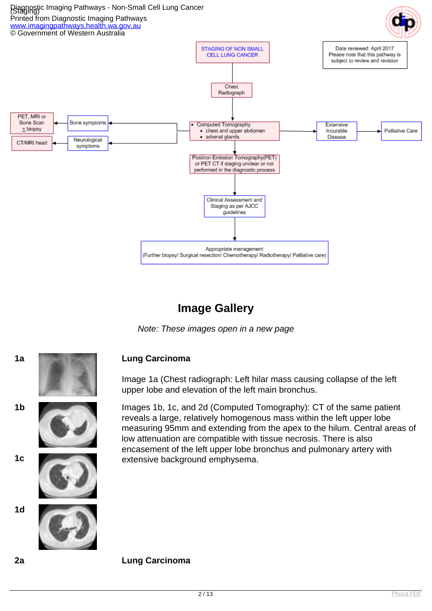

## **Image Gallery**

Note: These images open in a new page



Image 1a (Chest radiograph: Left hilar mass causing collapse of the left upper lobe and elevation of the left main bronchus.

**1b** Images 1b, 1c, and 2d (Computed Tomography): CT of the same patient reveals a large, relatively homogenous mass within the left upper lobe measuring 95mm and extending from the apex to the hilum. Central areas of low attenuation are compatible with tissue necrosis. There is also encasement of the left upper lobe bronchus and pulmonary artery with **1c** extensive background emphysema.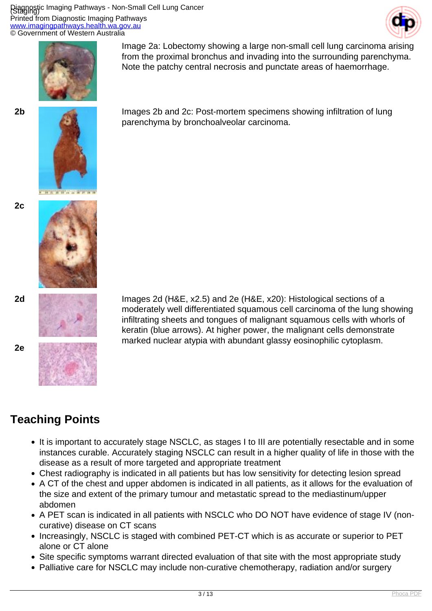Diagnostic Imaging Pathways - Non-Small Cell Lung Cancer (Staging) Printed from Diagnostic Imaging Pathways <u>ww.imagingpathways.health.wa.gov.au</u> © Government of Western Australia







**2b Images 2b and 2c: Post-mortem specimens showing infiltration of lung** parenchyma by bronchoalveolar carcinoma.

Note the patchy central necrosis and punctate areas of haemorrhage.

Image 2a: Lobectomy showing a large non-small cell lung carcinoma arising from the proximal bronchus and invading into the surrounding parenchyma.





**2e**



**2d** Images 2d (H&E, x2.5) and 2e (H&E, x20): Histological sections of a moderately well differentiated squamous cell carcinoma of the lung showing infiltrating sheets and tongues of malignant squamous cells with whorls of keratin (blue arrows). At higher power, the malignant cells demonstrate marked nuclear atypia with abundant glassy eosinophilic cytoplasm.

## **Teaching Points**

- It is important to accurately stage NSCLC, as stages I to III are potentially resectable and in some instances curable. Accurately staging NSCLC can result in a higher quality of life in those with the disease as a result of more targeted and appropriate treatment
- Chest radiography is indicated in all patients but has low sensitivity for detecting lesion spread
- A CT of the chest and upper abdomen is indicated in all patients, as it allows for the evaluation of the size and extent of the primary tumour and metastatic spread to the mediastinum/upper abdomen
- A PET scan is indicated in all patients with NSCLC who DO NOT have evidence of stage IV (noncurative) disease on CT scans
- Increasingly, NSCLC is staged with combined PET-CT which is as accurate or superior to PET alone or CT alone
- Site specific symptoms warrant directed evaluation of that site with the most appropriate study
- Palliative care for NSCLC may include non-curative chemotherapy, radiation and/or surgery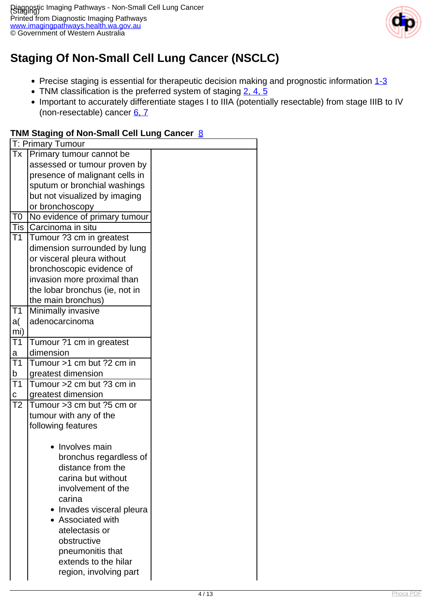

# **Staging Of Non-Small Cell Lung Cancer (NSCLC)**

- Precise staging is essential for therapeutic decision making and prognostic information  $1-3$
- TNM classification is the preferred system of staging [2, 4, 5](index.php?option=com_content&view=article&id=141&tab=references)
- Important to accurately differentiate stages I to IIIA (potentially resectable) from stage IIIB to IV (non-resectable) cancer [6, 7](index.php?option=com_content&view=article&id=141&tab=references)

#### T: Primary Tumour Tx Primary tumour cannot be assessed or tumour proven by presence of malignant cells in sputum or bronchial washings but not visualized by imaging or bronchoscopy T0 No evidence of primary tumour Tis Carcinoma in situ T1 Tumour ?3 cm in greatest dimension surrounded by lung or visceral pleura without bronchoscopic evidence of invasion more proximal than the lobar bronchus (ie, not in the main bronchus)  $\overline{\text{T1}}$ a( mi) **Minimally invasive** adenocarcinoma  $T1$ a Tumour ?1 cm in greatest dimension  $\overline{T1}$ b Tumour >1 cm but ?2 cm in greatest dimension  $\overline{T1}$ c Tumour >2 cm but ?3 cm in greatest dimension T2  $\text{Tumour} > 3 \text{ cm}$  but ?5 cm or tumour with any of the following features • Involves main bronchus regardless of distance from the carina but without involvement of the carina • Invades visceral pleura Associated with atelectasis or obstructive pneumonitis that extends to the hilar region, involving part

#### **TNM Staging of Non-Small Cell Lung Cancer** [8](index.php?option=com_content&view=article&id=141&tab=references)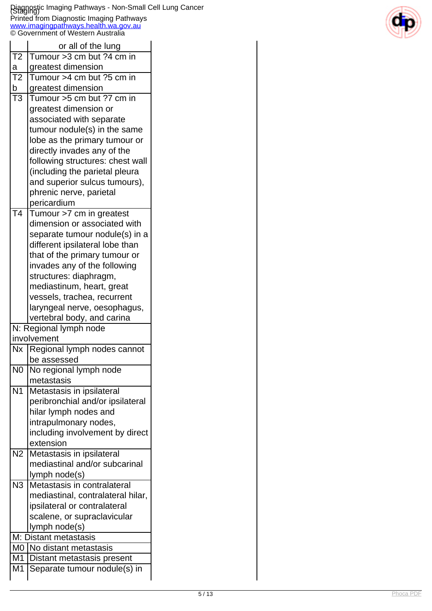#### Diagnostic Imaging Pathways - Non-Small Cell Lung Cancer (Staging) Printed from Diagnostic Imaging Pathways [www.imagingpathways.health.wa.gov.au](http://www.imagingpathways.health.wa.gov.au/) © Government of Western Australia



|                          | or all of the lung                |  |  |  |  |  |
|--------------------------|-----------------------------------|--|--|--|--|--|
| T <sub>2</sub>           | Tumour > 3 cm but ? 4 cm in       |  |  |  |  |  |
| a                        | greatest dimension                |  |  |  |  |  |
| T <sub>2</sub>           | Tumour >4 cm but ?5 cm in         |  |  |  |  |  |
| $\mathsf b$              | greatest dimension                |  |  |  |  |  |
| $\overline{\text{T3}}$   | Tumour >5 cm but ?7 cm in         |  |  |  |  |  |
|                          | greatest dimension or             |  |  |  |  |  |
|                          | associated with separate          |  |  |  |  |  |
|                          | tumour nodule(s) in the same      |  |  |  |  |  |
|                          | lobe as the primary tumour or     |  |  |  |  |  |
|                          | directly invades any of the       |  |  |  |  |  |
|                          | following structures: chest wall  |  |  |  |  |  |
|                          | (including the parietal pleura    |  |  |  |  |  |
|                          | and superior sulcus tumours),     |  |  |  |  |  |
|                          | phrenic nerve, parietal           |  |  |  |  |  |
|                          | pericardium                       |  |  |  |  |  |
| $\overline{\mathsf{T4}}$ | Tumour >7 cm in greatest          |  |  |  |  |  |
|                          | dimension or associated with      |  |  |  |  |  |
|                          | separate tumour nodule(s) in a    |  |  |  |  |  |
|                          | different ipsilateral lobe than   |  |  |  |  |  |
|                          | that of the primary tumour or     |  |  |  |  |  |
|                          | invades any of the following      |  |  |  |  |  |
|                          | structures: diaphragm,            |  |  |  |  |  |
|                          | mediastinum, heart, great         |  |  |  |  |  |
|                          | vessels, trachea, recurrent       |  |  |  |  |  |
|                          | laryngeal nerve, oesophagus,      |  |  |  |  |  |
|                          | vertebral body, and carina        |  |  |  |  |  |
|                          | N: Regional lymph node            |  |  |  |  |  |
|                          | involvement                       |  |  |  |  |  |
| <b>Nx</b>                | Regional lymph nodes cannot       |  |  |  |  |  |
|                          | be assessed                       |  |  |  |  |  |
| N <sub>0</sub>           | No regional lymph node            |  |  |  |  |  |
|                          | metastasis                        |  |  |  |  |  |
| $\overline{N1}$          | Metastasis in ipsilateral         |  |  |  |  |  |
|                          | peribronchial and/or ipsilateral  |  |  |  |  |  |
|                          | hilar lymph nodes and             |  |  |  |  |  |
|                          | intrapulmonary nodes,             |  |  |  |  |  |
|                          | including involvement by direct   |  |  |  |  |  |
|                          | extension                         |  |  |  |  |  |
| $\overline{N2}$          | Metastasis in ipsilateral         |  |  |  |  |  |
|                          | mediastinal and/or subcarinal     |  |  |  |  |  |
|                          | lymph node(s)                     |  |  |  |  |  |
| $\overline{N3}$          | Metastasis in contralateral       |  |  |  |  |  |
|                          | mediastinal, contralateral hilar, |  |  |  |  |  |
|                          | ipsilateral or contralateral      |  |  |  |  |  |
|                          | scalene, or supraclavicular       |  |  |  |  |  |
|                          | lymph node(s)                     |  |  |  |  |  |
|                          | M: Distant metastasis             |  |  |  |  |  |
| M <sub>0</sub>           | No distant metastasis             |  |  |  |  |  |
| M <sub>1</sub>           | Distant metastasis present        |  |  |  |  |  |
| M <sub>1</sub>           | Separate tumour nodule(s) in      |  |  |  |  |  |
|                          |                                   |  |  |  |  |  |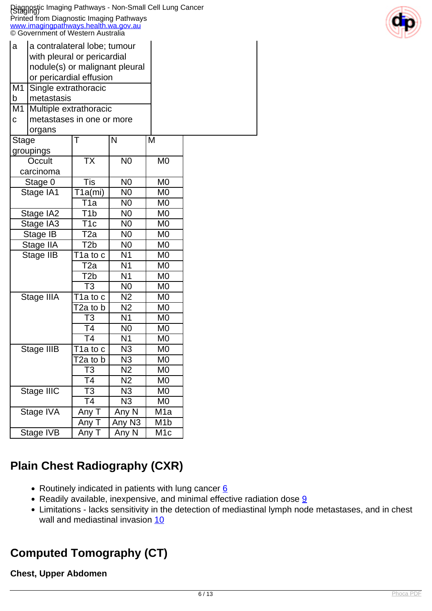|                | Diagnostic Imaging Pathways - Non-Small Cell Lung Cancer<br>Staging)<br>Printed from Diagnostic Imaging Pathways |                                    |                                  |                      |  |
|----------------|------------------------------------------------------------------------------------------------------------------|------------------------------------|----------------------------------|----------------------|--|
|                | www.imagingpathways.health.wa.gov.au<br>© Government of Western Australia                                        |                                    |                                  |                      |  |
| a              | a contralateral lobe; tumour                                                                                     |                                    |                                  |                      |  |
|                | with pleural or pericardial                                                                                      |                                    |                                  |                      |  |
|                | nodule(s) or malignant pleural                                                                                   |                                    |                                  |                      |  |
|                | or pericardial effusion                                                                                          |                                    |                                  |                      |  |
| M <sub>1</sub> | Single extrathoracic                                                                                             |                                    |                                  |                      |  |
| b              | metastasis                                                                                                       |                                    |                                  |                      |  |
| M <sub>1</sub> | Multiple extrathoracic                                                                                           |                                    |                                  |                      |  |
| $\mathbf c$    | metastases in one or more                                                                                        |                                    |                                  |                      |  |
|                | organs                                                                                                           |                                    |                                  |                      |  |
| Stage          |                                                                                                                  | Т                                  | N                                | M                    |  |
|                | groupings                                                                                                        |                                    |                                  |                      |  |
|                | Occult                                                                                                           | <b>TX</b>                          | N <sub>0</sub>                   | M <sub>0</sub>       |  |
|                | carcinoma                                                                                                        |                                    |                                  |                      |  |
|                | Stage 0                                                                                                          | Tis                                | N <sub>0</sub>                   | M <sub>0</sub>       |  |
|                | Stage IA1                                                                                                        | T1a(mi)                            | N <sub>0</sub>                   | M <sub>0</sub>       |  |
|                |                                                                                                                  | T1a                                | N <sub>0</sub>                   | M0                   |  |
|                | Stage IA2                                                                                                        | T1b                                | N <sub>0</sub>                   | M0                   |  |
|                | Stage IA3                                                                                                        | T <sub>1c</sub>                    | N <sub>0</sub>                   | M0                   |  |
|                | Stage IB                                                                                                         | T2a                                | N <sub>0</sub>                   | M <sub>0</sub>       |  |
|                | Stage IIA                                                                                                        | T <sub>2</sub> b                   | N <sub>0</sub>                   | M <sub>0</sub>       |  |
|                | Stage IIB                                                                                                        | T1a to c                           | N <sub>1</sub>                   | M0                   |  |
|                |                                                                                                                  | T2a                                | N <sub>1</sub><br>N <sub>1</sub> | M0                   |  |
|                |                                                                                                                  | T <sub>2</sub> b<br>T <sub>3</sub> | N <sub>0</sub>                   | M0<br>M <sub>0</sub> |  |
|                |                                                                                                                  |                                    | N <sub>2</sub>                   | M <sub>0</sub>       |  |
|                | Stage IIIA                                                                                                       | T1a to c<br>T2a to b               | N <sub>2</sub>                   | M0                   |  |
|                |                                                                                                                  | T3                                 | N <sub>1</sub>                   | M0                   |  |
|                |                                                                                                                  | T <sub>4</sub>                     | N <sub>0</sub>                   | M0                   |  |
|                |                                                                                                                  | T4                                 | N1                               | M0                   |  |
|                | Stage IIIB                                                                                                       | T1a to c                           | N <sub>3</sub>                   | M <sub>0</sub>       |  |
|                |                                                                                                                  | T2a to b                           | N3                               | M0                   |  |
|                |                                                                                                                  | T3                                 | N2                               | M0                   |  |
|                |                                                                                                                  | T <sub>4</sub>                     | N <sub>2</sub>                   | M <sub>0</sub>       |  |
|                | <b>Stage IIIC</b>                                                                                                | T3                                 | N <sub>3</sub>                   | M0                   |  |
|                |                                                                                                                  | T <sub>4</sub>                     | N <sub>3</sub>                   | M0                   |  |
|                | Stage IVA                                                                                                        | Any T                              | Any N                            | M1a                  |  |
|                |                                                                                                                  | Any T                              | Any N3                           | M1b                  |  |
|                | Stage IVB                                                                                                        | Any T                              | Any N                            | M <sub>1</sub> c     |  |

# **Plain Chest Radiography (CXR)**

- Routinely indicated in patients with lung cancer  $6$
- $\bullet$  Readily available, inexpensive, and minimal effective radiation dose  $9$
- Limitations lacks sensitivity in the detection of mediastinal lymph node metastases, and in chest wall and mediastinal invasion [10](index.php?option=com_content&view=article&id=141&tab=references)

# **Computed Tomography (CT)**

### **Chest, Upper Abdomen**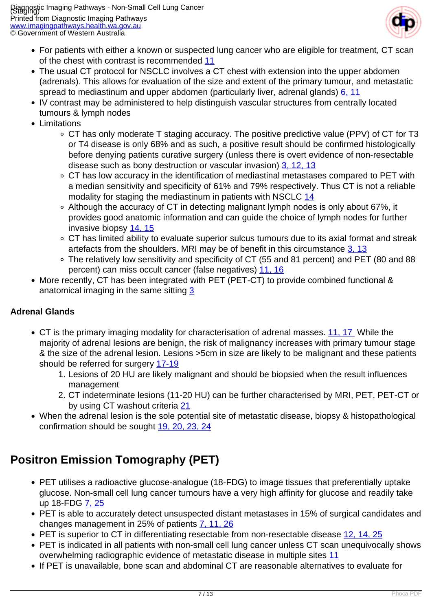

- For patients with either a known or suspected lung cancer who are eligible for treatment, CT scan of the chest with contrast is recommended [11](index.php?option=com_content&view=article&id=141&tab=references)
- The usual CT protocol for NSCLC involves a CT chest with extension into the upper abdomen (adrenals). This allows for evaluation of the size and extent of the primary tumour, and metastatic spread to mediastinum and upper abdomen (particularly liver, adrenal glands) [6, 11](index.php?option=com_content&view=article&id=141&tab=references)
- IV contrast may be administered to help distinguish vascular structures from centrally located tumours & lymph nodes
- Limitations
	- CT has only moderate T staging accuracy. The positive predictive value (PPV) of CT for T3 or T4 disease is only 68% and as such, a positive result should be confirmed histologically before denying patients curative surgery (unless there is overt evidence of non-resectable disease such as bony destruction or vascular invasion) [3, 12, 13](index.php?option=com_content&view=article&id=141&tab=references)
	- CT has low accuracy in the identification of mediastinal metastases compared to PET with a median sensitivity and specificity of 61% and 79% respectively. Thus CT is not a reliable modality for staging the mediastinum in patients with NSCLC [14](index.php?option=com_content&view=article&id=141&tab=references)
	- Although the accuracy of CT in detecting malignant lymph nodes is only about 67%, it provides good anatomic information and can guide the choice of lymph nodes for further invasive biopsy [14, 15](index.php?option=com_content&view=article&id=141&tab=references)
	- CT has limited ability to evaluate superior sulcus tumours due to its axial format and streak artefacts from the shoulders. MRI may be of benefit in this circumstance  $3, 13$
	- The relatively low sensitivity and specificity of CT (55 and 81 percent) and PET (80 and 88 percent) can miss occult cancer (false negatives) [11, 16](index.php?option=com_content&view=article&id=141&tab=references)
- More recently, CT has been integrated with PET (PET-CT) to provide combined functional & anatomical imaging in the same sitting [3](index.php?option=com_content&view=article&id=141&tab=references)

## **Adrenal Glands**

- CT is the primary imaging modality for characterisation of adrenal masses. [11, 17](index.php?option=com_content&view=article&id=141&tab=references) While the majority of adrenal lesions are benign, the risk of malignancy increases with primary tumour stage & the size of the adrenal lesion. Lesions >5cm in size are likely to be malignant and these patients should be referred for surgery [17-19](index.php?option=com_content&view=article&id=141&tab=references)
	- 1. Lesions of 20 HU are likely malignant and should be biopsied when the result influences management
	- 2. CT indeterminate lesions (11-20 HU) can be further characterised by MRI, PET, PET-CT or by using CT washout criteria [21](index.php?option=com_content&view=article&id=141&tab=references)
- When the adrenal lesion is the sole potential site of metastatic disease, biopsy & histopathological confirmation should be sought [19, 20, 23, 24](index.php?option=com_content&view=article&id=141&tab=references)

# **Positron Emission Tomography (PET)**

- PET utilises a radioactive glucose-analogue (18-FDG) to image tissues that preferentially uptake glucose. Non-small cell lung cancer tumours have a very high affinity for glucose and readily take up 18-FDG [7, 25](index.php?option=com_content&view=article&id=141&tab=references)
- PET is able to accurately detect unsuspected distant metastases in 15% of surgical candidates and changes management in 25% of patients [7, 11, 26](index.php?option=com_content&view=article&id=141&tab=references)
- PET is superior to CT in differentiating resectable from non-resectable disease [12, 14, 25](index.php?option=com_content&view=article&id=141&tab=references)
- PET is indicated in all patients with non-small cell lung cancer unless CT scan unequivocally shows overwhelming radiographic evidence of metastatic disease in multiple sites [11](index.php?option=com_content&view=article&id=141&tab=references)
- If PET is unavailable, bone scan and abdominal CT are reasonable alternatives to evaluate for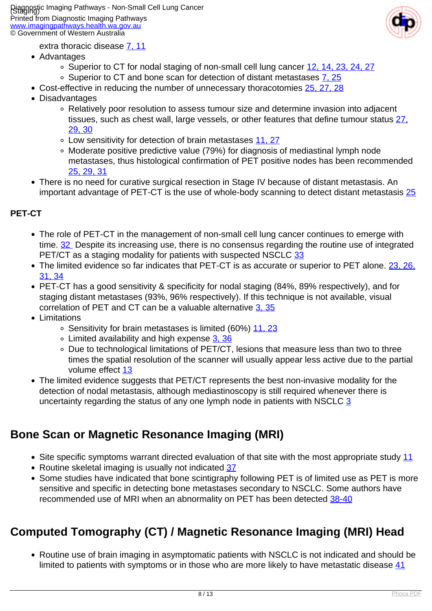

- extra thoracic disease [7, 11](index.php?option=com_content&view=article&id=141&tab=references)
- Advantages
	- Superior to CT for nodal staging of non-small cell lung cancer [12, 14, 23, 24, 27](index.php?option=com_content&view=article&id=141&tab=references)
	- o Superior to CT and bone scan for detection of distant metastases [7, 25](index.php?option=com_content&view=article&id=141&tab=references)
- Cost-effective in reducing the number of unnecessary thoracotomies [25, 27, 28](index.php?option=com_content&view=article&id=141&tab=references)
- Disadvantages
	- Relatively poor resolution to assess tumour size and determine invasion into adjacent tissues, such as chest wall, large vessels, or other features that define tumour status [27,](index.php?option=com_content&view=article&id=141&tab=references) [29, 30](index.php?option=com_content&view=article&id=141&tab=references)
	- Low sensitivity for detection of brain metastases [11, 27](index.php?option=com_content&view=article&id=141&tab=references)
	- Moderate positive predictive value (79%) for diagnosis of mediastinal lymph node metastases, thus histological confirmation of PET positive nodes has been recommended [25, 29, 31](index.php?option=com_content&view=article&id=141&tab=references)
- There is no need for curative surgical resection in Stage IV because of distant metastasis. An important advantage of PET-CT is the use of whole-body scanning to detect distant metastasis [25](index.php?option=com_content&view=article&id=141&tab=references)

#### **PET-CT**

- The role of PET-CT in the management of non-small cell lung cancer continues to emerge with time. [32](index.php?option=com_content&view=article&id=141&tab=references) Despite its increasing use, there is no consensus regarding the routine use of integrated PET/CT as a staging modality for patients with suspected NSCLC [33](index.php?option=com_content&view=article&id=141&tab=references)
- The limited evidence so far indicates that PET-CT is as accurate or superior to PET alone. [23, 26,](index.php?option=com_content&view=article&id=141&tab=references) [31, 34](index.php?option=com_content&view=article&id=141&tab=references)
- PET-CT has a good sensitivity & specificity for nodal staging (84%, 89% respectively), and for staging distant metastases (93%, 96% respectively). If this technique is not available, visual correlation of PET and CT can be a valuable alternative [3, 35](index.php?option=com_content&view=article&id=141&tab=references)
- Limitations
	- o Sensitivity for brain metastases is limited (60%) [11, 23](index.php?option=com_content&view=article&id=141&tab=references)
	- Limited availability and high expense [3, 36](index.php?option=com_content&view=article&id=141&tab=references)
	- Due to technological limitations of PET/CT, lesions that measure less than two to three times the spatial resolution of the scanner will usually appear less active due to the partial volume effect [13](index.php?option=com_content&view=article&id=141&tab=references)
- The limited evidence suggests that PET/CT represents the best non-invasive modality for the detection of nodal metastasis, although mediastinoscopy is still required whenever there is uncertainty regarding the status of any one lymph node in patients with NSCLC [3](index.php?option=com_content&view=article&id=141&tab=references)

## **Bone Scan or Magnetic Resonance Imaging (MRI)**

- Site specific symptoms warrant directed evaluation of that site with the most appropriate study [11](index.php?option=com_content&view=article&id=141&tab=references)
- Routine skeletal imaging is usually not indicated [37](index.php?option=com_content&view=article&id=141&tab=references)
- Some studies have indicated that bone scintigraphy following PET is of limited use as PET is more sensitive and specific in detecting bone metastases secondary to NSCLC. Some authors have recommended use of MRI when an abnormality on PET has been detected [38-40](index.php?option=com_content&view=article&id=141&tab=references)

# **Computed Tomography (CT) / Magnetic Resonance Imaging (MRI) Head**

Routine use of brain imaging in asymptomatic patients with NSCLC is not indicated and should be limited to patients with symptoms or in those who are more likely to have metastatic disease [41](index.php?option=com_content&view=article&id=141&tab=references)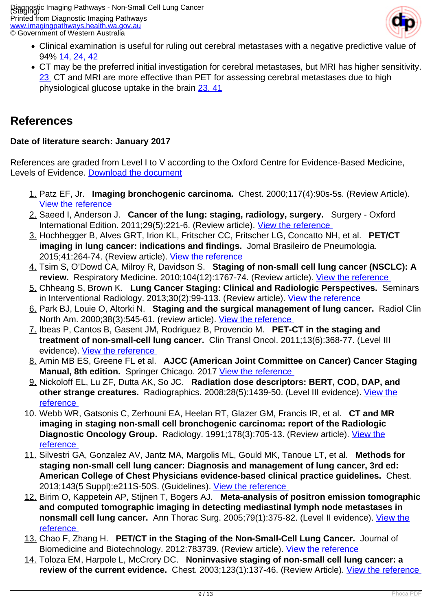

- Clinical examination is useful for ruling out cerebral metastases with a negative predictive value of 94% [14, 24, 42](index.php?option=com_content&view=article&id=141&tab=references)
- CT may be the preferred initial investigation for cerebral metastases, but MRI has higher sensitivity. [23](index.php?option=com_content&view=article&id=141&tab=references) CT and MRI are more effective than PET for assessing cerebral metastases due to high physiological glucose uptake in the brain [23, 41](index.php?option=com_content&view=article&id=141&tab=references)

## **References**

#### **Date of literature search: January 2017**

References are graded from Level I to V according to the Oxford Centre for Evidence-Based Medicine, Levels of Evidence. [Download the document](http://www.cebm.net/wp-content/uploads/2014/06/CEBM-Levels-of-Evidence-2.1.pdf)

- 1. Patz EF, Jr. **Imaging bronchogenic carcinoma.** Chest. 2000;117(4):90s-5s. (Review Article). [View the reference](https://www.ncbi.nlm.nih.gov/pubmed/10777461 )
- 2. Saeed I, Anderson J. **Cancer of the lung: staging, radiology, surgery.** Surgery Oxford International Edition. 2011;29(5):221-6. (Review article). [View the reference](http://www.sciencedirect.com/science/article/pii/S0263931911000263 )
- 3. Hochhegger B, Alves GRT, Irion KL, Fritscher CC, Fritscher LG, Concatto NH, et al. **PET/CT imaging in lung cancer: indications and findings.** Jornal Brasileiro de Pneumologia. 2015;41:264-74. (Review article). [View the reference](https://www.ncbi.nlm.nih.gov/pubmed/26176525 )
- 4. Tsim S, O'Dowd CA, Milroy R, Davidson S. **Staging of non-small cell lung cancer (NSCLC): A review.** Respiratory Medicine. 2010;104(12):1767-74. (Review article). [View the reference](https://www.ncbi.nlm.nih.gov/pubmed/20833010 )
- 5. Chheang S, Brown K. **Lung Cancer Staging: Clinical and Radiologic Perspectives.** Seminars in Interventional Radiology. 2013;30(2):99-113. (Review article). [View the reference](https://www.ncbi.nlm.nih.gov/pmc/articles/PMC3709937 )
- 6. Park BJ, Louie O, Altorki N. **Staging and the surgical management of lung cancer.** Radiol Clin North Am. 2000;38(3):545-61. (review article). [View the reference](https://www.ncbi.nlm.nih.gov/pubmed/10855261 )
- 7. Ibeas P, Cantos B, Gasent JM, Rodriguez B, Provencio M. **PET-CT in the staging and treatment of non-small-cell lung cancer.** Clin Transl Oncol. 2011;13(6):368-77. (Level III evidence). [View the reference](https://www.ncbi.nlm.nih.gov/pubmed/21680297 )
- 8. Amin MB ES, Greene FL et al. **AJCC (American Joint Committee on Cancer) Cancer Staging Manual, 8th edition.** Springer Chicago. 2017 View the reference
- 9. Nickoloff EL, Lu ZF, Dutta AK, So JC. **Radiation dose descriptors: BERT, COD, DAP, and** other strange creatures. Radiographics. 2008;28(5):1439-50. (Level III evidence). [View the](https://www.ncbi.nlm.nih.gov/pubmed/18794317 ) [reference](https://www.ncbi.nlm.nih.gov/pubmed/18794317 )
- 10. Webb WR, Gatsonis C, Zerhouni EA, Heelan RT, Glazer GM, Francis IR, et al. **CT and MR imaging in staging non-small cell bronchogenic carcinoma: report of the Radiologic Diagnostic Oncology Group.** Radiology. 1991;178(3):705-13. (Review article). [View the](https://www.ncbi.nlm.nih.gov/pubmed/1847239 ) [reference](https://www.ncbi.nlm.nih.gov/pubmed/1847239 )
- 11. Silvestri GA, Gonzalez AV, Jantz MA, Margolis ML, Gould MK, Tanoue LT, et al. **Methods for staging non-small cell lung cancer: Diagnosis and management of lung cancer, 3rd ed: American College of Chest Physicians evidence-based clinical practice guidelines.** Chest. 2013;143(5 Suppl):e211S-50S. (Guidelines). [View the reference](https://www.ncbi.nlm.nih.gov/pubmed/26002237 )
- 12. Birim O, Kappetein AP, Stijnen T, Bogers AJ. **Meta-analysis of positron emission tomographic and computed tomographic imaging in detecting mediastinal lymph node metastases in nonsmall cell lung cancer.** Ann Thorac Surg. 2005;79(1):375-82. (Level II evidence). [View the](https://www.ncbi.nlm.nih.gov/pubmed/15620991 ) [reference](https://www.ncbi.nlm.nih.gov/pubmed/15620991 )
- 13. Chao F, Zhang H. **PET/CT in the Staging of the Non-Small-Cell Lung Cancer.** Journal of Biomedicine and Biotechnology. 2012:783739. (Review article). [View the reference](https://www.ncbi.nlm.nih.gov/pubmed/21680297 )
- 14. Toloza EM, Harpole L, McCrory DC. **Noninvasive staging of non-small cell lung cancer: a review of the current evidence.** Chest. 2003;123(1):137-46. (Review Article). [View the reference](https://www.ncbi.nlm.nih.gov/pubmed/12527573 )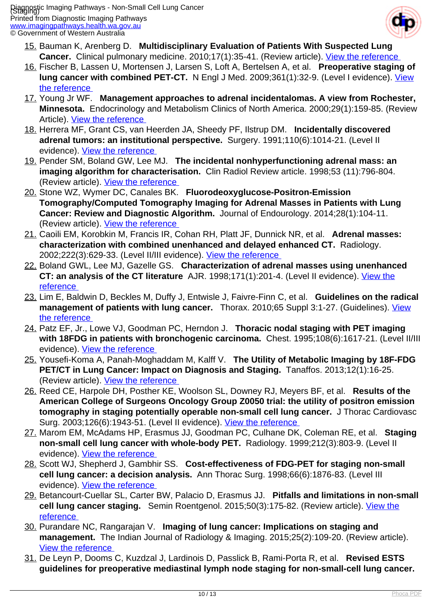

- 15. Bauman K, Arenberg D. **Multidisciplinary Evaluation of Patients With Suspected Lung Cancer.** Clinical pulmonary medicine. 2010;17(1):35-41. (Review article). View the reference
- 16. Fischer B, Lassen U, Mortensen J, Larsen S, Loft A, Bertelsen A, et al. **Preoperative staging of lung cancer with combined PET-CT.** N Engl J Med. 2009;361(1):32-9. (Level I evidence). [View](https://www.ncbi.nlm.nih.gov/pubmed/19571281 ) [the reference](https://www.ncbi.nlm.nih.gov/pubmed/19571281 )
- 17. Young Jr WF. **Management approaches to adrenal incidentalomas. A view from Rochester, Minnesota.** Endocrinology and Metabolism Clinics of North America. 2000;29(1):159-85. (Review Article). [View the reference](https://www.ncbi.nlm.nih.gov/pubmed/10732270 )
- 18. Herrera MF, Grant CS, van Heerden JA, Sheedy PF, Ilstrup DM. **Incidentally discovered adrenal tumors: an institutional perspective.** Surgery. 1991;110(6):1014-21. (Level II evidence). [View the reference](https://www.ncbi.nlm.nih.gov/pubmed/1745970 )
- 19. Pender SM, Boland GW, Lee MJ. **The incidental nonhyperfunctioning adrenal mass: an imaging algorithm for characterisation.** Clin Radiol Review article. 1998;53 (11):796-804. (Review article). [View the reference](https://www.ncbi.nlm.nih.gov/pubmed/9833781 )
- 20. Stone WZ, Wymer DC, Canales BK. **Fluorodeoxyglucose-Positron-Emission Tomography/Computed Tomography Imaging for Adrenal Masses in Patients with Lung Cancer: Review and Diagnostic Algorithm.** Journal of Endourology. 2014;28(1):104-11. (Review article). [View the reference](https://www.ncbi.nlm.nih.gov/pubmed/23927734 )
- 21. Caoili EM, Korobkin M, Francis IR, Cohan RH, Platt JF, Dunnick NR, et al. **Adrenal masses: characterization with combined unenhanced and delayed enhanced CT.** Radiology. 2002;222(3):629-33. (Level II/III evidence). [View the reference](https://www.ncbi.nlm.nih.gov/pubmed/11867777 )
- 22. Boland GWL, Lee MJ, Gazelle GS. **Characterization of adrenal masses using unenhanced CT: an analysis of the CT literature** AJR. 1998;171(1):201-4. (Level II evidence). [View the](https://www.ncbi.nlm.nih.gov/pubmed/9648789 ) [reference](https://www.ncbi.nlm.nih.gov/pubmed/9648789 )
- 23. Lim E, Baldwin D, Beckles M, Duffy J, Entwisle J, Faivre-Finn C, et al. **Guidelines on the radical management of patients with lung cancer.** Thorax. 2010;65 Suppl 3:1-27. (Guidelines). [View](https://www.ncbi.nlm.nih.gov/pubmed/20940263 ) [the reference](https://www.ncbi.nlm.nih.gov/pubmed/20940263 )
- 24. Patz EF, Jr., Lowe VJ, Goodman PC, Herndon J. **Thoracic nodal staging with PET imaging with 18FDG in patients with bronchogenic carcinoma.** Chest. 1995;108(6):1617-21. (Level II/III evidence). [View the reference](https://www.ncbi.nlm.nih.gov/pubmed/7497771 )
- 25. Yousefi-Koma A, Panah-Moghaddam M, Kalff V. **The Utility of Metabolic Imaging by 18F-FDG PET/CT in Lung Cancer: Impact on Diagnosis and Staging.** Tanaffos. 2013;12(1):16-25. (Review article). [View the reference](https://www.ncbi.nlm.nih.gov/pmc/articles/PMC4153235 )
- 26. Reed CE, Harpole DH, Posther KE, Woolson SL, Downey RJ, Meyers BF, et al. **Results of the American College of Surgeons Oncology Group Z0050 trial: the utility of positron emission tomography in staging potentially operable non-small cell lung cancer.** J Thorac Cardiovasc Surg. 2003;126(6):1943-51. (Level II evidence). [View the reference](https://www.ncbi.nlm.nih.gov/pubmed/14688710 )
- 27. Marom EM, McAdams HP, Erasmus JJ, Goodman PC, Culhane DK, Coleman RE, et al. **Staging non-small cell lung cancer with whole-body PET.** Radiology. 1999;212(3):803-9. (Level II evidence). [View the reference](https://www.ncbi.nlm.nih.gov/pubmed/10478250 )
- 28. Scott WJ, Shepherd J, Gambhir SS. **Cost-effectiveness of FDG-PET for staging non-small cell lung cancer: a decision analysis.** Ann Thorac Surg. 1998;66(6):1876-83. (Level III evidence). [View the reference](https://www.ncbi.nlm.nih.gov/pubmed/9930463 )
- 29. Betancourt-Cuellar SL, Carter BW, Palacio D, Erasmus JJ. **Pitfalls and limitations in non-small cell lung cancer staging.** Semin Roentgenol. 2015;50(3):175-82. (Review article). [View the](https://www.ncbi.nlm.nih.gov/pubmed/26002237 ) [reference](https://www.ncbi.nlm.nih.gov/pubmed/26002237 )
- 30. Purandare NC, Rangarajan V. **Imaging of lung cancer: Implications on staging and management.** The Indian Journal of Radiology & Imaging. 2015;25(2):109-20. (Review article). [View the reference](https://www.ncbi.nlm.nih.gov/pmc/articles/PMC4419420 )
- 31. De Leyn P, Dooms C, Kuzdzal J, Lardinois D, Passlick B, Rami-Porta R, et al. **Revised ESTS guidelines for preoperative mediastinal lymph node staging for non-small-cell lung cancer.**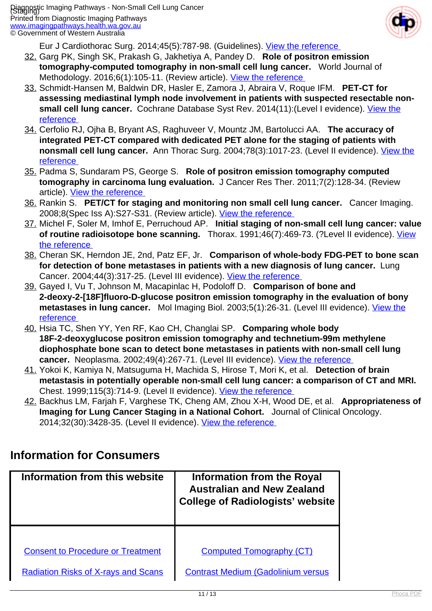

Eur J Cardiothorac Surg. 2014;45(5):787-98. (Guidelines). [View the reference](https://www.ncbi.nlm.nih.gov/pubmed/24578407 ) 

- 32. Garg PK, Singh SK, Prakash G, Jakhetiya A, Pandey D. **Role of positron emission tomography-computed tomography in non-small cell lung cancer.** World Journal of Methodology. 2016;6(1):105-11. (Review article). [View the reference](https://www.ncbi.nlm.nih.gov/pmc/articles/PMC4804245 )
- 33. Schmidt-Hansen M, Baldwin DR, Hasler E, Zamora J, Abraira V, Roque IFM. **PET-CT for assessing mediastinal lymph node involvement in patients with suspected resectable non-**small cell lung cancer. Cochrane Database Syst Rev. 2014(11): (Level I evidence). [View the](https://www.ncbi.nlm.nih.gov/pubmed/25393718 ) [reference](https://www.ncbi.nlm.nih.gov/pubmed/25393718 )
- 34. Cerfolio RJ, Ojha B, Bryant AS, Raghuveer V, Mountz JM, Bartolucci AA. **The accuracy of integrated PET-CT compared with dedicated PET alone for the staging of patients with nonsmall cell lung cancer.** Ann Thorac Surg. 2004;78(3):1017-23. (Level II evidence). [View the](https://www.ncbi.nlm.nih.gov/pubmed/15337041 ) [reference](https://www.ncbi.nlm.nih.gov/pubmed/15337041 )
- 35. Padma S, Sundaram PS, George S. **Role of positron emission tomography computed tomography in carcinoma lung evaluation.** J Cancer Res Ther. 2011;7(2):128-34. (Review article). [View the reference](https://www.ncbi.nlm.nih.gov/pubmed/24010906 )
- 36. Rankin S. **PET/CT for staging and monitoring non small cell lung cancer.** Cancer Imaging. 2008;8(Spec Iss A):S27-S31. (Review article). [View the reference](https://www.ncbi.nlm.nih.gov/pmc/articles/PMC2582498 )
- 37. Michel F, Soler M, Imhof E, Perruchoud AP. **Initial staging of non-small cell lung cancer: value of routine radioisotope bone scanning.** Thorax. 1991;46(7):469-73. (?Level II evidence). [View](https://www.ncbi.nlm.nih.gov/pubmed/1652164 ) [the reference](https://www.ncbi.nlm.nih.gov/pubmed/1652164 )
- 38. Cheran SK, Herndon JE, 2nd, Patz EF, Jr. **Comparison of whole-body FDG-PET to bone scan for detection of bone metastases in patients with a new diagnosis of lung cancer.** Lung Cancer. 2004;44(3):317-25. (Level III evidence). [View the reference](https://www.ncbi.nlm.nih.gov/pubmed/15140545 )
- 39. Gayed I, Vu T, Johnson M, Macapinlac H, Podoloff D. **Comparison of bone and 2-deoxy-2-[18F]fluoro-D-glucose positron emission tomography in the evaluation of bony** metastases in lung cancer. Mol Imaging Biol. 2003;5(1):26-31. (Level III evidence). [View the](https://www.ncbi.nlm.nih.gov/pubmed/14499159 ) [reference](https://www.ncbi.nlm.nih.gov/pubmed/14499159 )
- 40. Hsia TC, Shen YY, Yen RF, Kao CH, Changlai SP. **Comparing whole body 18F-2-deoxyglucose positron emission tomography and technetium-99m methylene diophosphate bone scan to detect bone metastases in patients with non-small cell lung** cancer. Neoplasma. 2002;49(4):267-71. (Level III evidence). *View the reference*
- 41. Yokoi K, Kamiya N, Matsuguma H, Machida S, Hirose T, Mori K, et al. **Detection of brain metastasis in potentially operable non-small cell lung cancer: a comparison of CT and MRI.**  Chest. 1999;115(3):714-9. (Level II evidence). [View the reference](https://www.ncbi.nlm.nih.gov/pubmed/10084481 )
- 42. Backhus LM, Farjah F, Varghese TK, Cheng AM, Zhou X-H, Wood DE, et al. **Appropriateness of Imaging for Lung Cancer Staging in a National Cohort.** Journal of Clinical Oncology. 2014;32(30):3428-35. (Level II evidence). View the reference

## **Information for Consumers**

| Information from this website                                                          | Information from the Royal<br><b>Australian and New Zealand</b><br><b>College of Radiologists' website</b> |  |  |
|----------------------------------------------------------------------------------------|------------------------------------------------------------------------------------------------------------|--|--|
|                                                                                        |                                                                                                            |  |  |
| <b>Consent to Procedure or Treatment</b><br><b>Radiation Risks of X-rays and Scans</b> | <b>Computed Tomography (CT)</b><br><b>Contrast Medium (Gadolinium versus</b>                               |  |  |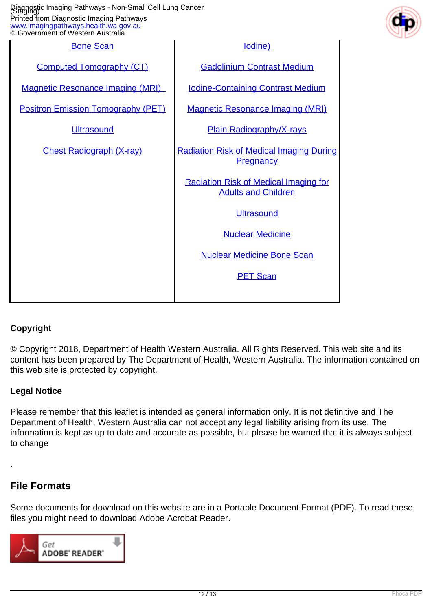| Diagnostic Imaging Pathways - Non-Small Cell Lung Cancer<br>Staging)<br>Printed from Diagnostic Imaging Pathways<br>www.imagingpathways.health.wa.gov.au<br>© Government of Western Australia |                                                                            |  |
|-----------------------------------------------------------------------------------------------------------------------------------------------------------------------------------------------|----------------------------------------------------------------------------|--|
| <b>Bone Scan</b>                                                                                                                                                                              | lodine)                                                                    |  |
| <b>Computed Tomography (CT)</b>                                                                                                                                                               | <b>Gadolinium Contrast Medium</b>                                          |  |
| <b>Magnetic Resonance Imaging (MRI)</b>                                                                                                                                                       | <b>Iodine-Containing Contrast Medium</b>                                   |  |
| <b>Positron Emission Tomography (PET)</b>                                                                                                                                                     | <b>Magnetic Resonance Imaging (MRI)</b>                                    |  |
| <b>Ultrasound</b>                                                                                                                                                                             | <b>Plain Radiography/X-rays</b>                                            |  |
| <b>Chest Radiograph (X-ray)</b>                                                                                                                                                               | <b>Radiation Risk of Medical Imaging During</b><br>Pregnancy               |  |
|                                                                                                                                                                                               | <b>Radiation Risk of Medical Imaging for</b><br><b>Adults and Children</b> |  |
|                                                                                                                                                                                               | <b>Ultrasound</b>                                                          |  |
|                                                                                                                                                                                               | <b>Nuclear Medicine</b>                                                    |  |
|                                                                                                                                                                                               | <b>Nuclear Medicine Bone Scan</b>                                          |  |
|                                                                                                                                                                                               | <b>PET Scan</b>                                                            |  |
|                                                                                                                                                                                               |                                                                            |  |

### **Copyright**

© Copyright 2018, Department of Health Western Australia. All Rights Reserved. This web site and its content has been prepared by The Department of Health, Western Australia. The information contained on this web site is protected by copyright.

### **Legal Notice**

Please remember that this leaflet is intended as general information only. It is not definitive and The Department of Health, Western Australia can not accept any legal liability arising from its use. The information is kept as up to date and accurate as possible, but please be warned that it is always subject to change

## **File Formats**

.

Some documents for download on this website are in a Portable Document Format (PDF). To read these files you might need to download Adobe Acrobat Reader.